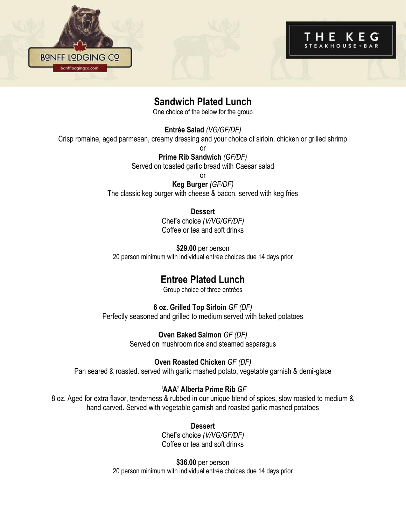



## **Sandwich Plated Lunch**

One choice of the below for the group

**Entrée Salad** *(VG/GF/DF)*

Crisp romaine, aged parmesan, creamy dressing and your choice of sirloin, chicken or grilled shrimp

or **Prime Rib Sandwich** *(GF/DF)* Served on toasted garlic bread with Caesar salad or

**Keg Burger** *(GF/DF)* The classic keg burger with cheese & bacon, served with keg fries

#### **Dessert**

Chef's choice *(V/VG/GF/DF)* Coffee or tea and soft drinks

**\$29.00** per person 20 person minimum with individual entrée choices due 14 days prior

# **Entree Plated Lunch**

Group choice of three entrées

#### **6 oz. Grilled Top Sirloin** *GF (DF)*

Perfectly seasoned and grilled to medium served with baked potatoes

**Oven Baked Salmon** *GF (DF)* Served on mushroom rice and steamed asparagus

**Oven Roasted Chicken** *GF (DF)* Pan seared & roasted. served with garlic mashed potato, vegetable garnish & demi-glace

#### **'AAA' Alberta Prime Rib** *GF*

8 oz. Aged for extra flavor, tenderness & rubbed in our unique blend of spices, slow roasted to medium & hand carved. Served with vegetable garnish and roasted garlic mashed potatoes

> **Dessert**  Chef's choice *(V/VG/GF/DF)* Coffee or tea and soft drinks

**\$36.00** per person 20 person minimum with individual entrée choices due 14 days prior